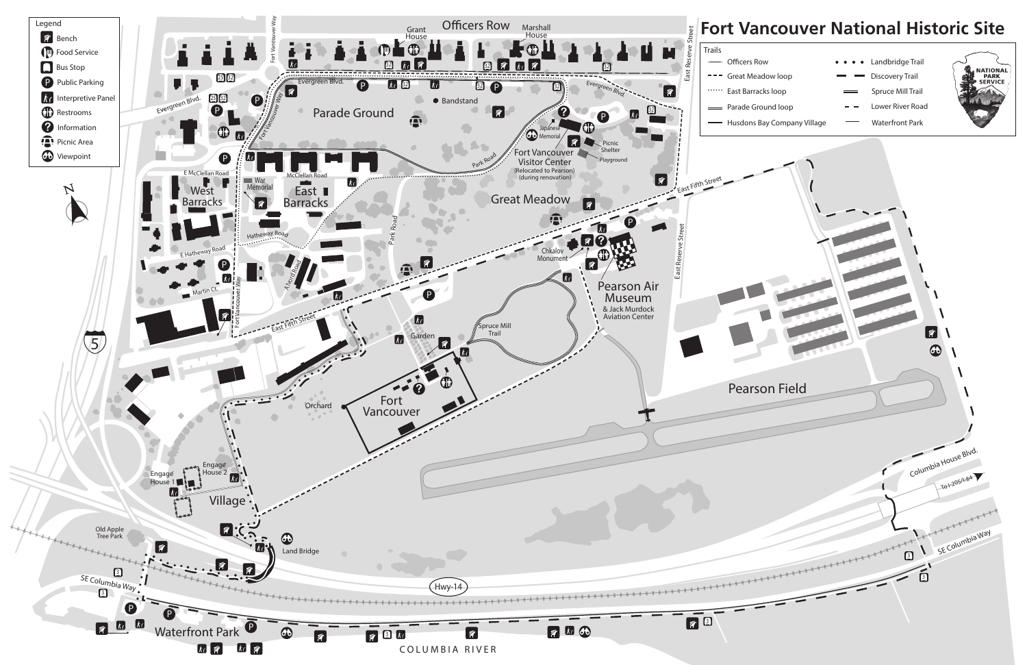

- 
- 
- 
- 
- 
- 
- 
- 
- -